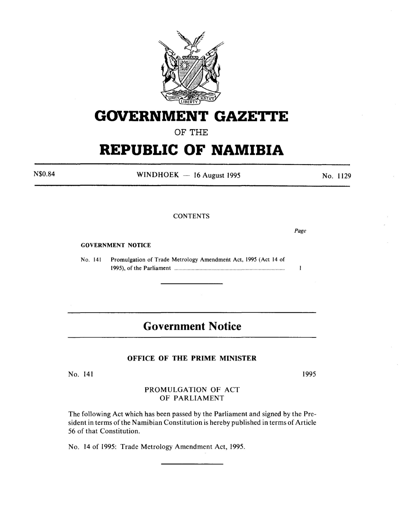

# **GOVERNMENT GAZETTE**

OF THE

# **REPUBLIC OF NAMIBIA**

 $WINDHOEK - 16 August 1995$ No. 1129

# **CONTENTS**

GOVERNMENT NOTICE

No. 141 Promulgation of Trade Metrology Amendment Act, 1995 (Act 14 of 1995), of the Parliament ....................................................................................... .

# **Government Notice**

# OFFICE OF THE PRIME MINISTER

No. 141

1995

# PROMULGATION OF ACT OF PARLIAMENT

The following Act which has been passed by the Parliament and signed by the President in terms of the Namibian Constitution is hereby published in terms of Article 56 of that Constitution.

No. 14 of 1995: Trade Metrology Amendment Act, 1995.

N\$0.84

*Page* 

 $\mathbf{I}$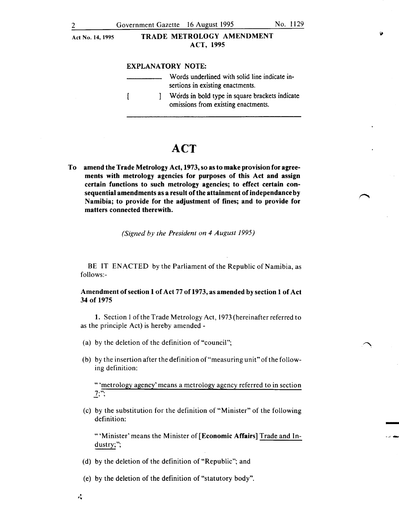#### EXPLANATORY NOTE:

| Words underlined with solid line indicate in-<br>sertions in existing enactments.     |
|---------------------------------------------------------------------------------------|
| Words in bold type in square brackets indicate<br>omissions from existing enactments. |

# **ACT**

To amend the Trade Metrology Act, 1973, so as to make provision for agreements with metrology agencies for purposes of this Act and assign certain functions to such metrology agencies; to effect certain consequential amendments as a result of the attainment of independance by Namibia; to provide for the adjustment of fines; and to provide for matters connected therewith.

*(Signed by the President on 4 August 1995)* 

BE IT ENACTED by the Parliament of the Republic of Namibia, as follows:-

## Amendment of section 1 of Act 77 of 1973, as amended by section 1 of Act 34 of 1975

1. Section 1 of the Trade Metrology Act, 1973 (hereinafter referred to as the principle Act) is hereby amended-

- (a) by the deletion of the definition of "council";
- (b) by the insertion after the definition of"measuring unit" of the following definition:

" 'metrology agency' means a metrology agency referred to in section  $\overline{7;}$ "

(c) by the substitution for the definition of "Minister" of the following definition:

"'Minister' means the Minister of [Economic Affairs] Trade and Industry;";

- (d) by the deletion of the definition of "Republic"; and
- (e) by the deletion of the definition of "statutory body" .
- $\ddot{N}$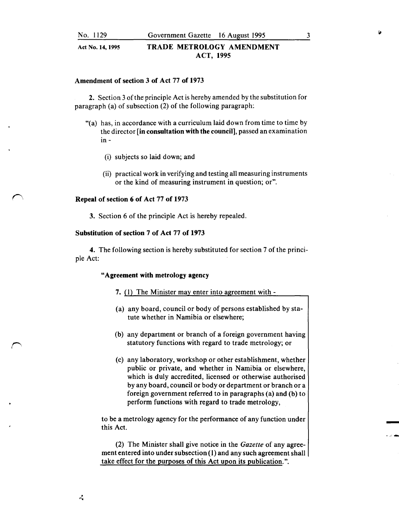#### Amendment of section 3 of Act 77 of 1973

2. Section 3 of the principle Act is hereby amended by the substitution for paragraph (a) of subsection (2) of the following paragraph:

- "(a) has, in accordance with a curriculum laid down from time to time by the director [in consultation with the council], passed an examination in -
	- (i) subjects so laid down; and
	- (ii) practical work in verifying and testing all measuring instruments or the kind of measuring instrument in question; or".

#### Repeal of section 6 of Act 77 of 1973

3. Section 6 of the principle Act is hereby repealed.

#### Substitution of section 7 of Act 77 of 1973

4. The following section is hereby substituted for section 7 of the principle Act:

#### "Agreement with metrology agency

- 7. (1) The Minister may enter into agreement with -
- (a) any board, council or body of persons established by statute whether in Namibia or elsewhere;
- (b) any department or branch of a foreign government having statutory functions with regard to trade metrology; or
- (c) any laboratory, workshop or other establishment, whether public or private, and whether in Namibia or elsewhere, which is duly accredited, licensed or otherwise authorised by any board, council or body or department or branch or a foreign government referred to in paragraphs (a) and (b) to perform functions with regard to trade metrology,

to be a metrology agency for the performance of any function under this Act.

(2) The Minister shall give notice in the *Gazette* of any agreement entered into under subsection (I) and any such agreement shall take effect for the purposes of this Act upon its publication.".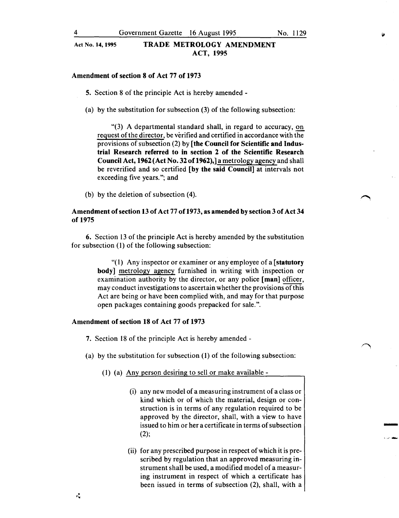#### Amendment of section 8 of Act 77 of 1973

5. Section 8 of the principle Act is hereby amended -

(a) by the substitution for subsection (3) of the following subsection:

"(3) A departmental standard shall, in regard to accuracy, on request of the director, be verified and certified in accordance with the provisions of subsection (2) by [the Council for Scientific and Industrial Research referred to in section 2 of the Scientific Research Council Act, 1962 (Act No. 32 of 1962),] a metrology agency and shall be reverified and so certified [by the said Council] at intervals not exceeding five years."; and

(b) by the deletion of subsection (4).

#### Amendment of section 13 of Act 77 of1973, as amended by section 3 of Act 34 of 1975

6. Section 13 of the principle Act is hereby amended by the substitution for subsection (1) of the following subsection:

> "(1) Any inspector or examiner or any employee of a [statutory body] metrology agency furnished in writing with inspection or examination authority by the director, or any police [man] officer, may conduct investigations to ascertain whether the provisions of this Act are being or have been complied with, and may for that purpose open packages containing goods prepacked for sale.".

#### Amendment of section 18 of Act 77 of 1973

- 7. Section 18 of the principle Act is hereby amended-
- (a) by the substitution for subsection (1) of the following subsection:
	- (1) (a) Any person desiring to sell or make available -
		- (i) any new model of a measuring instrument of a class or kind which or of which the material, design or construction is in terms of any regulation required to be approved by the director, shall, with a view to have issued to him or her a certificate in terms of subsection (2);

-<br>-<br>-

• A' .......

(ii) for any prescribed purpose in respect of which it is prescribed by regulation that an approved measuring instrument shall be used, a modified model of a measuring instrument in respect of which a certificate has been issued in terms of subsection (2), shall, with a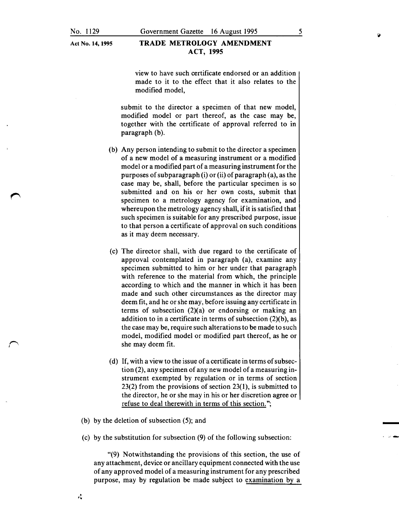view to have such certificate endorsed or an addition made to it to the effect that it also relates to the modified model,

submit to the director a specimen of that new model, modified model or part thereof, as the case may be, together with the certificate of approval referred to in paragraph (b).

- (b) Any person intending to submit to the director a specimen of a new model of a measuring instrument or a modified model or a modified part of a measuring instrument for the purposes of subparagraph (i) or (ii) of paragraph (a), as the case may be, shall, before the particular specimen is so submitted and on his or her own costs, submit that specimen to a metrology agency for examination, and whereupon the metrology agency shall, if it is satisfied that such specimen is suitable for any prescribed purpose, issue to that person a certificate of approval on such conditions as it may deem necessary.
- (c) The director shall, with due regard to the certificate of approval contemplated in paragraph (a), examine any specimen submitted to him or her under that paragraph with reference to the material from which, the principle according to which and the manner in which it has been made and such other circumstances as the director may deem fit, and he or she may, before issuing any certificate in terms of subsection (2)(a) or endorsing or making an addition to in a certificate in terms of subsection  $(2)(b)$ , as the case may be, require such alterations to be made to such model, modified model or modified part thereof, as he or she may deem fit.
- (d) If, with a view to the issue of a certificate in terms of subsection (2), any specimen of any new model of a measuring instrument exempted by regulation or in terms of section 23(2) from the provisions of section 23(1), is submitted to the director, he or she may in his or her discretion agree or refuse to deal therewith in terms of this section.";
- (b) by the deletion of subsection (5); and
- (c) by the substitution for subsection (9) of the following subsection:

"(9) Notwithstanding the provisions of this section, the use of any attachment, device or ancillary equipment connected with the use of any approved model of a measuring instrument for any prescribed purpose, may by regulation be made subject to examination by a

 $\mathbf{r}_\mathrm{d}$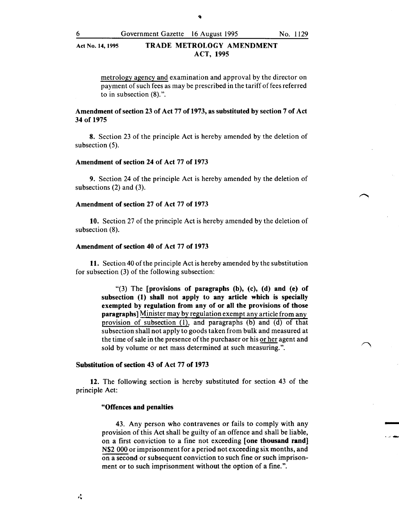metrology agency and examination and approval by the director on payment of such fees as may be prescribed in the tariff of fees referred to in subsection (8).".

# Amendment of section 23 of Act 77 of 1973, as substituted by section 7 of Act 34 of 1975

8. Section 23 of the principle Act is hereby amended by the deletion of subsection (5).

#### Amendment of section 24 of Act 77 of 1973

9. Section 24 of the principle Act is hereby amended by the deletion of subsections (2) and (3).

#### Amendment of section 27 of Act 77 of 1973

10. Section 27 of the principle Act is hereby amended by the deletion of subsection (8).

#### Amendment of section 40 of Act 77 of 1973

11. Section 40 of the principle Act is hereby amended by the substitution for subsection (3) of the following subsection:

> " $(3)$  The [provisions of paragraphs  $(b)$ ,  $(c)$ ,  $(d)$  and  $(e)$  of subsection (1) shall not apply to any article which is specially exempted by regulation from any of or all the provisions of those paragraphs] Minister may by regulation exempt any article from any provision of subsection {1), and paragraphs (b) and (d) of that subsection shall not apply to goods taken from bulk and measured at the time of sale in the presence of the purchaser or his or her agent and sold by volume or net mass determined at such measuring.".

#### Substitution of section 43 of Act 77 of 1973

12. The following section is hereby substituted for section 43 of the principle Act:

#### "Offences and penalties

43. Any person who contravenes or fails to comply with any provision of this Act shall be guilty of an offence and shall be liable, on a first conviction to a fine not exceeding [one thousand rand] N\$2 000 or imprisonment for a period not exceeding six months, and on a second or subsequent conviction to such fine or such imprisonment or to such imprisonment without the option of a fine.".

-<br>-<br>-